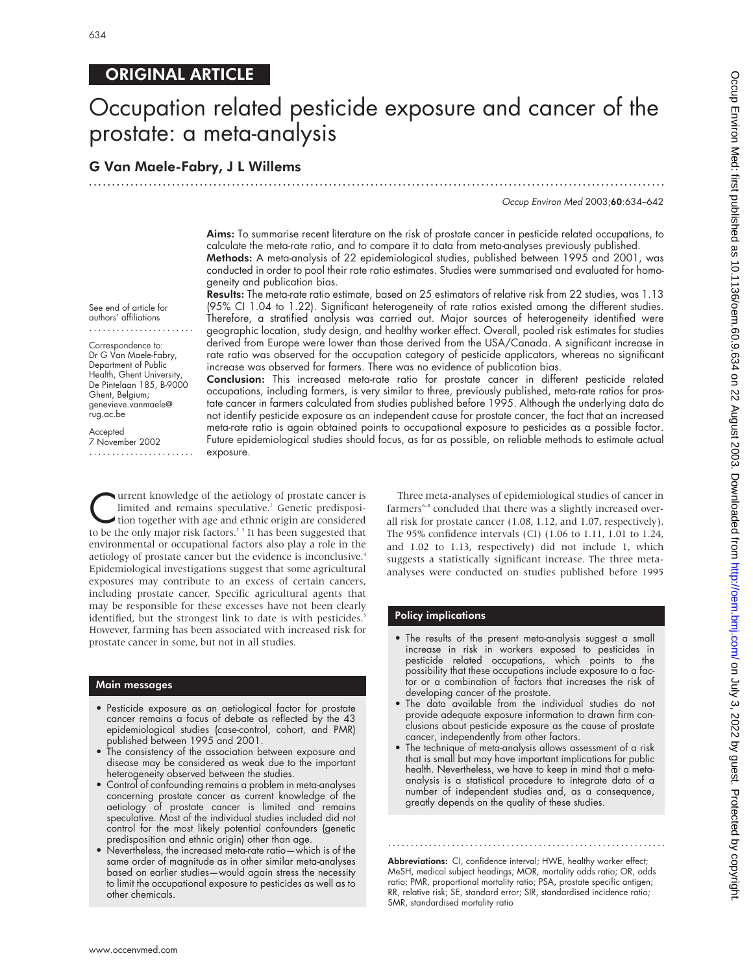# ORIGINAL ARTICLE

# Occupation related pesticide exposure and cancer of the prostate: a meta-analysis

# G Van Maele-Fabry, J L Willems

Occup Environ Med 2003;60:634–642

Aims: To summarise recent literature on the risk of prostate cancer in pesticide related occupations, to calculate the meta-rate ratio, and to compare it to data from meta-analyses previously published. Methods: A meta-analysis of 22 epidemiological studies, published between 1995 and 2001, was

.............................................................................................................................

conducted in order to pool their rate ratio estimates. Studies were summarised and evaluated for homogeneity and publication bias. Results: The meta-rate ratio estimate, based on 25 estimators of relative risk from 22 studies, was 1.13

(95% CI 1.04 to 1.22). Significant heterogeneity of rate ratios existed among the different studies. Therefore, a stratified analysis was carried out. Major sources of heterogeneity identified were geographic location, study design, and healthy worker effect. Overall, pooled risk estimates for studies derived from Europe were lower than those derived from the USA/Canada. A significant increase in rate ratio was observed for the occupation category of pesticide applicators, whereas no significant increase was observed for farmers. There was no evidence of publication bias.

Conclusion: This increased meta-rate ratio for prostate cancer in different pesticide related occupations, including farmers, is very similar to three, previously published, meta-rate ratios for prostate cancer in farmers calculated from studies published before 1995. Although the underlying data do not identify pesticide exposure as an independent cause for prostate cancer, the fact that an increased meta-rate ratio is again obtained points to occupational exposure to pesticides as a possible factor. Future epidemiological studies should focus, as far as possible, on reliable methods to estimate actual exposure.

Uurrent knowledge of the aetiology of prostate cancer is<br>limited and remains speculative.' Genetic predisposi-<br>tion together with age and ethnic origin are considered<br>to be the only major rick factors<sup>23</sup>. It has been sugg limited and remains speculative.<sup>1</sup> Genetic predisposito be the only major risk factors.<sup>23</sup> It has been suggested that environmental or occupational factors also play a role in the aetiology of prostate cancer but the evidence is inconclusive.<sup>4</sup> Epidemiological investigations suggest that some agricultural exposures may contribute to an excess of certain cancers, including prostate cancer. Specific agricultural agents that may be responsible for these excesses have not been clearly identified, but the strongest link to date is with pesticides.<sup>5</sup> However, farming has been associated with increased risk for .......................

#### Main messages

• Pesticide exposure as an aetiological factor for prostate cancer remains a focus of debate as reflected by the 43 epidemiological studies (case-control, cohort, and PMR) published between 1995 and 2001.

prostate cancer in some, but not in all studies.

- The consistency of the association between exposure and disease may be considered as weak due to the important heterogeneity observed between the studies.
- Control of confounding remains a problem in meta-analyses concerning prostate cancer as current knowledge of the aetiology of prostate cancer is limited and remains speculative. Most of the individual studies included did not control for the most likely potential confounders (genetic predisposition and ethnic origin) other than age.
- Nevertheless, the increased meta-rate ratio—which is of the same order of magnitude as in other similar meta-analyses based on earlier studies—would again stress the necessity to limit the occupational exposure to pesticides as well as to other chemicals.

Three meta-analyses of epidemiological studies of cancer in farmers<sup>6-8</sup> concluded that there was a slightly increased overall risk for prostate cancer (1.08, 1.12, and 1.07, respectively). The 95% confidence intervals (CI) (1.06 to 1.11, 1.01 to 1.24, and 1.02 to 1.13, respectively) did not include 1, which suggests a statistically significant increase. The three metaanalyses were conducted on studies published before 1995

### Policy implications

- The results of the present meta-analysis suggest a small increase in risk in workers exposed to pesticides in pesticide related occupations, which points to the possibility that these occupations include exposure to a factor or a combination of factors that increases the risk of developing cancer of the prostate.
- The data available from the individual studies do not provide adequate exposure information to drawn firm conclusions about pesticide exposure as the cause of prostate cancer, independently from other factors.
- The technique of meta-analysis allows assessment of a risk that is small but may have important implications for public health. Nevertheless, we have to keep in mind that a metaanalysis is a statistical procedure to integrate data of a number of independent studies and, as a consequence, greatly depends on the quality of these studies.

Abbreviations: CI, confidence interval; HWE, healthy worker effect; MeSH, medical subject headings; MOR, mortality odds ratio; OR, odds ratio; PMR, proportional mortality ratio; PSA, prostate specific antigen; RR, relative risk; SE, standard error; SIR, standardised incidence ratio; SMR, standardised mortality ratio

.............................................................

See end of article for authors' affiliations .......................

Correspondence to: Dr G Van Maele-Fabry, Department of Public Health, Ghent University, De Pintelaan 185, B-9000 Ghent, Belgium; genevieve.vanmaele@ rug.ac.be

Accepted 7 November 2002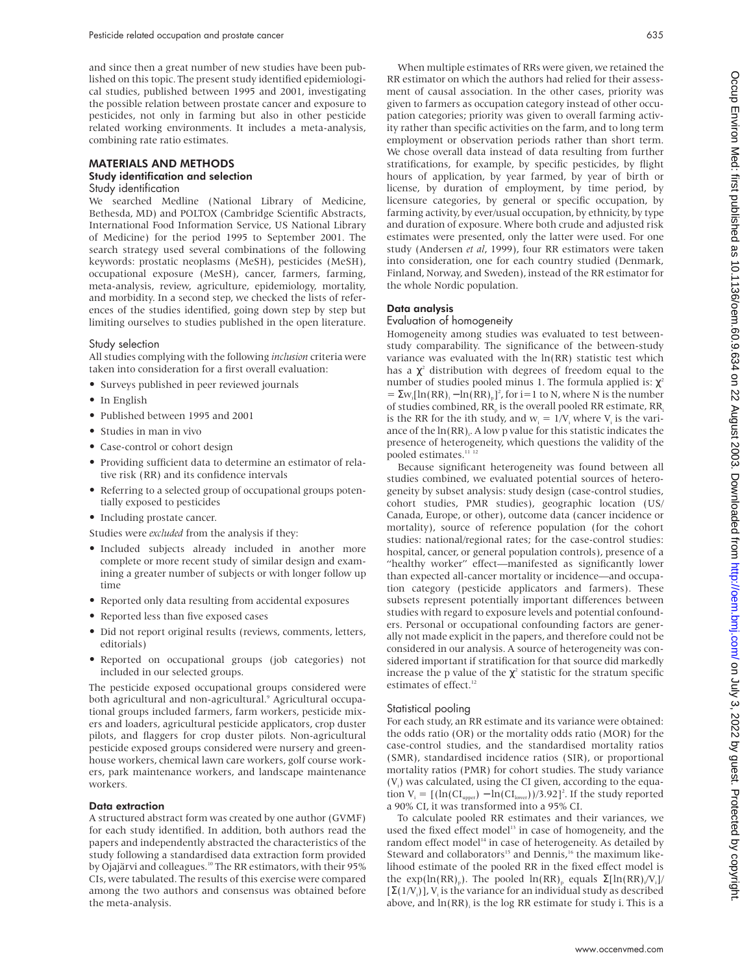and since then a great number of new studies have been published on this topic. The present study identified epidemiological studies, published between 1995 and 2001, investigating the possible relation between prostate cancer and exposure to pesticides, not only in farming but also in other pesticide related working environments. It includes a meta-analysis, combining rate ratio estimates.

# MATERIALS AND METHODS Study identification and selection

# Study identification

We searched Medline (National Library of Medicine, Bethesda, MD) and POLTOX (Cambridge Scientific Abstracts, International Food Information Service, US National Library of Medicine) for the period 1995 to September 2001. The search strategy used several combinations of the following keywords: prostatic neoplasms (MeSH), pesticides (MeSH), occupational exposure (MeSH), cancer, farmers, farming, meta-analysis, review, agriculture, epidemiology, mortality, and morbidity. In a second step, we checked the lists of references of the studies identified, going down step by step but limiting ourselves to studies published in the open literature.

#### Study selection

All studies complying with the following *inclusion* criteria were taken into consideration for a first overall evaluation:

- Surveys published in peer reviewed journals
- In English
- Published between 1995 and 2001
- Studies in man in vivo
- Case-control or cohort design
- Providing sufficient data to determine an estimator of relative risk (RR) and its confidence intervals
- Referring to a selected group of occupational groups potentially exposed to pesticides
- Including prostate cancer.

Studies were *excluded* from the analysis if they:

- Included subjects already included in another more complete or more recent study of similar design and examining a greater number of subjects or with longer follow up time
- Reported only data resulting from accidental exposures
- Reported less than five exposed cases
- Did not report original results (reviews, comments, letters, editorials)
- Reported on occupational groups (job categories) not included in our selected groups.

The pesticide exposed occupational groups considered were both agricultural and non-agricultural.<sup>9</sup> Agricultural occupational groups included farmers, farm workers, pesticide mixers and loaders, agricultural pesticide applicators, crop duster pilots, and flaggers for crop duster pilots. Non-agricultural pesticide exposed groups considered were nursery and greenhouse workers, chemical lawn care workers, golf course workers, park maintenance workers, and landscape maintenance workers*.*

#### Data extraction

A structured abstract form was created by one author (GVMF) for each study identified. In addition, both authors read the papers and independently abstracted the characteristics of the study following a standardised data extraction form provided by Ojajärvi and colleagues.<sup>10</sup> The RR estimators, with their 95% CIs, were tabulated. The results of this exercise were compared among the two authors and consensus was obtained before the meta-analysis.

When multiple estimates of RRs were given, we retained the RR estimator on which the authors had relied for their assessment of causal association. In the other cases, priority was given to farmers as occupation category instead of other occupation categories; priority was given to overall farming activity rather than specific activities on the farm, and to long term employment or observation periods rather than short term. We chose overall data instead of data resulting from further stratifications, for example, by specific pesticides, by flight hours of application, by year farmed, by year of birth or license, by duration of employment, by time period, by licensure categories, by general or specific occupation, by farming activity, by ever/usual occupation, by ethnicity, by type and duration of exposure. Where both crude and adjusted risk estimates were presented, only the latter were used. For one study (Andersen *et al*, 1999), four RR estimators were taken into consideration, one for each country studied (Denmark, Finland, Norway, and Sweden), instead of the RR estimator for the whole Nordic population.

# Data analysis

# Evaluation of homogeneity

Homogeneity among studies was evaluated to test betweenstudy comparability. The significance of the between-study variance was evaluated with the ln(RR) statistic test which has a  $\chi^2$  distribution with degrees of freedom equal to the number of studies pooled minus 1. The formula applied is:  $χ²$  $= \sum_{i} \ln(RR)_{i} - \ln(RR)_{p}$ <sup>2</sup>, for i=1 to N, where N is the number of studies combined,  $RR<sub>n</sub>$  is the overall pooled RR estimate,  $RR<sub>i</sub>$ is the RR for the ith study, and  $w_i = 1/V_i$  where  $V_i$  is the variance of the  $\ln(\mathrm{RR})$ . A low p value for this statistic indicates the presence of heterogeneity, which questions the validity of the pooled estimates.<sup>11-12</sup>

Because significant heterogeneity was found between all studies combined, we evaluated potential sources of heterogeneity by subset analysis: study design (case-control studies, cohort studies, PMR studies), geographic location (US/ Canada, Europe, or other), outcome data (cancer incidence or mortality), source of reference population (for the cohort studies: national/regional rates; for the case-control studies: hospital, cancer, or general population controls), presence of a "healthy worker" effect—manifested as significantly lower than expected all-cancer mortality or incidence—and occupation category (pesticide applicators and farmers). These subsets represent potentially important differences between studies with regard to exposure levels and potential confounders. Personal or occupational confounding factors are generally not made explicit in the papers, and therefore could not be considered in our analysis. A source of heterogeneity was considered important if stratification for that source did markedly increase the p value of the  $\chi^2$  statistic for the stratum specific estimates of effect.<sup>12</sup>

#### Statistical pooling

For each study, an RR estimate and its variance were obtained: the odds ratio (OR) or the mortality odds ratio (MOR) for the case-control studies, and the standardised mortality ratios (SMR), standardised incidence ratios (SIR), or proportional mortality ratios (PMR) for cohort studies. The study variance  $(V<sub>i</sub>)$  was calculated, using the CI given, according to the equation  $V_i = [(\ln(CI_{\text{upper}}) - \ln(CI_{\text{lower}}))/3.92]^2$ . If the study reported a 90% CI, it was transformed into a 95% CI.

To calculate pooled RR estimates and their variances, we used the fixed effect model<sup>13</sup> in case of homogeneity, and the random effect model<sup>14</sup> in case of heterogeneity. As detailed by Steward and collaborators<sup>15</sup> and Dennis,<sup>16</sup> the maximum likelihood estimate of the pooled RR in the fixed effect model is the exp(ln(RR)<sub>p</sub>). The pooled ln(RR)<sub>p</sub> equals  $\Sigma[\ln(RR)/V_i]/$  $[\Sigma(1/V_i)]$ ,  $V_i$  is the variance for an individual study as described above, and  $ln(RR)$ , is the log RR estimate for study i. This is a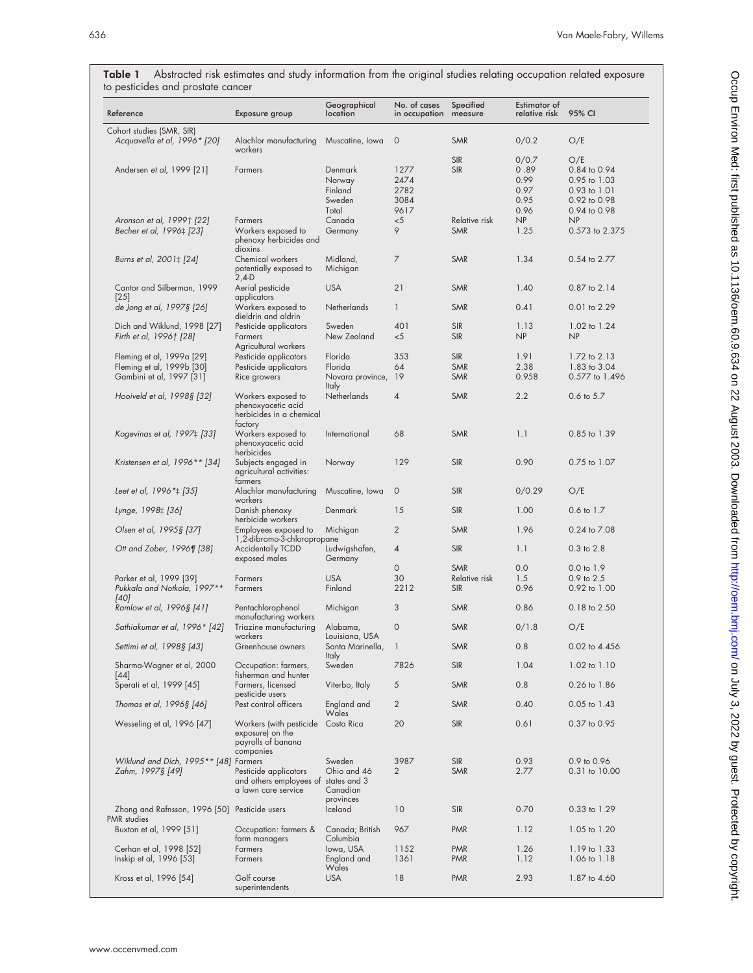| to pesticides and prostate cancer                                                  |                                                                                      |                                                        |                               |                                           |                                       |                                                                     |
|------------------------------------------------------------------------------------|--------------------------------------------------------------------------------------|--------------------------------------------------------|-------------------------------|-------------------------------------------|---------------------------------------|---------------------------------------------------------------------|
| Reference                                                                          | Exposure group                                                                       | Geographical<br>location                               | No. of cases<br>in occupation | Specified<br>measure                      | Estimator of<br>relative risk         | 95% CI                                                              |
| Cohort studies (SMR, SIR)<br>Acquavella et al, 1996* [20]                          | Alachlor manufacturing<br>workers                                                    | Muscatine, Iowa                                        | $\circ$                       | <b>SMR</b>                                | 0/0.2                                 | O/E                                                                 |
| Andersen et al, 1999 [21]                                                          | Farmers                                                                              | Denmark<br>Norway<br>Finland<br>Sweden                 | 1277<br>2474<br>2782<br>3084  | <b>SIR</b><br><b>SIR</b>                  | 0/0.7<br>0.89<br>0.99<br>0.97<br>0.95 | O/E<br>0.84 to 0.94<br>0.95 to 1.03<br>0.93 to 1.01<br>0.92 to 0.98 |
| Aronson et al, 1999† [22]<br>Becher et al, 1996; [23]                              | Farmers<br>Workers exposed to<br>phenoxy herbicides and                              | Total<br>Canada<br>Germany                             | 9617<br>$<$ 5<br>9            | Relative risk<br><b>SMR</b>               | 0.96<br>NP<br>1.25                    | 0.94 to 0.98<br>NP<br>0.573 to 2.375                                |
| Burns et al, 2001; [24]                                                            | dioxins<br>Chemical workers<br>potentially exposed to                                | Midland,<br>Michigan                                   | 7                             | <b>SMR</b>                                | 1.34                                  | 0.54 to 2.77                                                        |
| Cantor and Silberman, 1999<br>[25]                                                 | $2,4-D$<br>Aerial pesticide<br>applicators                                           | <b>USA</b>                                             | 21                            | <b>SMR</b>                                | 1.40                                  | 0.87 to 2.14                                                        |
| de Jong et al, 1997§ [26]                                                          | Workers exposed to<br>dieldrin and aldrin                                            | Netherlands                                            | $\mathbf{1}$                  | <b>SMR</b>                                | 0.41                                  | 0.01 to 2.29                                                        |
| Dich and Wiklund, 1998 [27]<br>Firth et al, 1996† [28]                             | Pesticide applicators<br>Farmers<br>Agricultural workers                             | Sweden<br>New Zealand                                  | 401<br>< 5                    | <b>SIR</b><br><b>SIR</b>                  | 1.13<br>NP                            | 1.02 to 1.24<br>NP                                                  |
| Fleming et al, 1999a [29]<br>Fleming et al, 1999b [30]<br>Gambini et al, 1997 [31] | Pesticide applicators<br>Pesticide applicators<br>Rice growers                       | Florida<br>Florida<br>Novara province,<br><b>Italy</b> | 353<br>64<br>19               | <b>SIR</b><br><b>SMR</b><br><b>SMR</b>    | 1.91<br>2.38<br>0.958                 | 1.72 to 2.13<br>1.83 to 3.04<br>0.577 to 1.496                      |
| Hooiveld et al, 1998§ [32]                                                         | Workers exposed to<br>phenoxyacetic acid<br>herbicides in a chemical<br>tactory      | <b>Netherlands</b>                                     | $\overline{4}$                | <b>SMR</b>                                | 2.2                                   | 0.6 to 5.7                                                          |
| Kogevinas et al, 1997‡ [33]                                                        | Workers exposed to<br>phenoxyacetic acid<br>herbicides                               | International                                          | 68                            | <b>SMR</b>                                | 1.1                                   | 0.85 to 1.39                                                        |
| Kristensen et al, $1996**$ [34]                                                    | Subjects engaged in<br>agricultural activities:<br>farmers                           | Norway                                                 | 129                           | <b>SIR</b>                                | 0.90                                  | 0.75 to 1.07                                                        |
| Leet et al, 1996 * : [35]                                                          | Alachlor manufacturing<br>workers                                                    | Muscatine, Iowa                                        | $\circ$                       | <b>SIR</b>                                | 0/0.29                                | O/E                                                                 |
| Lynge, 1998‡ [36]                                                                  | Danish phenoxy<br>herbicide workers                                                  | Denmark                                                | 15                            | <b>SIR</b>                                | 1.00                                  | 0.6 to 1.7                                                          |
| Olsen et al, 1995§ [37]                                                            | Employees exposed to<br>1,2-dibromo-3-chloropropane                                  | Michigan                                               | $\overline{2}$                | <b>SMR</b>                                | 1.96                                  | 0.24 to 7.08                                                        |
| Ott and Zober, 1996¶ [38]                                                          | <b>Accidentally TCDD</b><br>exposed males                                            | Ludwigshafen,<br>Germany                               | 4                             | <b>SIR</b>                                | 1.1                                   | $0.3$ to $2.8$                                                      |
| Parker et al, 1999 [39]<br>Pukkala and Notkola, 1997**<br>[40]                     | Farmers<br>Farmers                                                                   | <b>USA</b><br>Finland                                  | 0<br>30<br>2212               | <b>SMR</b><br>Relative risk<br><b>SIR</b> | 0.0<br>1.5<br>0.96                    | $0.0$ to $1.9$<br>0.9 to 2.5<br>0.92 to 1.00                        |
| Ramlow et al, 1996§ [41]                                                           | Pentachlorophenol<br>manufacturing workers                                           | Michigan                                               | 3                             | <b>SMR</b>                                | 0.86                                  | 0.18 to 2.50                                                        |
| Sathiakumar et al, 1996* [42]                                                      | Triazine manufacturing<br>workers                                                    | Alabama,<br>Louisiana, USA                             | $\circ$                       | <b>SMR</b>                                | 0/1.8                                 | O/E                                                                 |
| Settimi et al, 1998§ [43]                                                          | Greenhouse owners                                                                    | Santa Marinella,<br><b>Italy</b>                       | $\mathbf{I}$                  | <b>SMR</b>                                | 0.8                                   | 0.02 to 4.456                                                       |
| Sharma-Wagner et al, 2000<br> 44                                                   | Occupation: farmers,<br>fisherman and hunter                                         | Sweden                                                 | 7826                          | <b>SIR</b>                                | 1.04                                  | 1.02 to 1.10                                                        |
| Sperati et al, 1999 [45]                                                           | Farmers, licensed<br>pesticide users                                                 | Viterbo, Italy                                         | 5                             | <b>SMR</b>                                | 0.8                                   | 0.26 to 1.86                                                        |
| Thomas et al, 1996§ [46]                                                           | Pest control officers                                                                | England and<br>Wales                                   | $\overline{2}$                | <b>SMR</b>                                | 0.40                                  | 0.05 to 1.43                                                        |
| Wesseling et al, 1996 [47]                                                         | Workers (with pesticide<br>exposure) on the<br>payrolls of banana<br>companies       | Costa Rica                                             | 20                            | <b>SIR</b>                                | 0.61                                  | 0.37 to 0.95                                                        |
| Wiklund and Dich, 1995** [48] Farmers<br>Zahm, 1997§ [49]                          | Pesticide applicators<br>and others employees of states and 3<br>a lawn care service | Sweden<br>Ohio and 46<br>Canadian<br>provinces         | 3987<br>2                     | <b>SIR</b><br><b>SMR</b>                  | 0.93<br>2.77                          | 0.9 to 0.96<br>0.31 to 10.00                                        |
| Zhong and Rafnsson, 1996 [50] Pesticide users<br>PMR studies                       |                                                                                      | Iceland                                                | 10                            | <b>SIR</b>                                | 0.70                                  | 0.33 to 1.29                                                        |
| Buxton et al, 1999 [51]                                                            | Occupation: farmers &<br>tarm managers                                               | Canada; British<br>Columbia                            | 967                           | <b>PMR</b>                                | 1.12                                  | 1.05 to 1.20                                                        |
| Cerhan et al, 1998 [52]<br>Inskip et al, 1996 [53]                                 | Farmers<br>Farmers                                                                   | lowa, USA<br>England and<br>Wales                      | 1152<br>1361                  | <b>PMR</b><br><b>PMR</b>                  | 1.26<br>1.12                          | 1.19 to 1.33<br>1.06 to 1.18                                        |
| Kross et al, 1996 [54]                                                             | Golf course<br>superintendents                                                       | <b>USA</b>                                             | 18                            | <b>PMR</b>                                | 2.93                                  | 1.87 to 4.60                                                        |

Table 1 Abstracted risk estimates and study information from the original studies relating occupation related exposure to pesticides and prostate cancer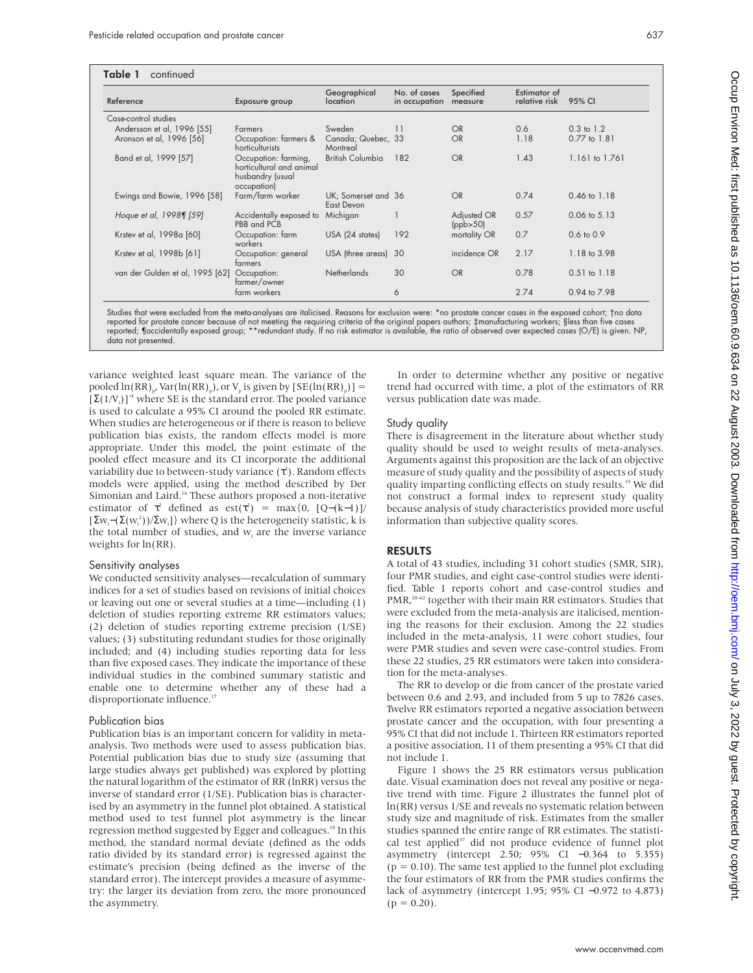| continued<br>Table 1            |                                                                                     |                                               |                               |                         |                               |                         |
|---------------------------------|-------------------------------------------------------------------------------------|-----------------------------------------------|-------------------------------|-------------------------|-------------------------------|-------------------------|
| Reference                       | Exposure group                                                                      | Geographical<br><i><u><b>location</b></u></i> | No. of cases<br>in occupation | Specified<br>measure    | Estimator of<br>relative risk | 95% CI                  |
| Case-control studies            |                                                                                     |                                               |                               |                         |                               |                         |
| Andersson et al, 1996 [55]      | Farmers                                                                             | Sweden                                        | 11                            | OR                      | 0.6                           | $0.3 \text{ to } 1.2$   |
| Aronson et al, 1996 [56]        | Occupation: farmers &<br>horticulturists                                            | Canada; Quebec, 33<br>Montreal                |                               | OR                      | 1.18                          | $0.77$ to $1.81$        |
| Band et al, 1999 [57]           | Occupation: farming,<br>horticultural and animal<br>husbandry (usual<br>occupation) | <b>British Columbia</b>                       | 182                           | OR                      | 1.43                          | 1.161 to 1.761          |
| Ewings and Bowie, 1996 [58]     | Farm/farm worker                                                                    | UK; Somerset and 36<br>East Devon             |                               | OR                      | 0.74                          | $0.46 \text{ to } 1.18$ |
| Hoque et al, 1998¶ [59]         | Accidentally exposed to<br>PBB and PCB                                              | Michigan                                      |                               | Adjusted OR<br>(ppb>50) | 0.57                          | $0.06 \text{ to } 5.13$ |
| Krstev et al, 1998a [60]        | Occupation: farm<br>workers                                                         | USA (24 states)                               | 192                           | mortality OR            | 0.7                           | $0.6$ to $0.9$          |
| Krstev et al, 1998b [61]        | Occupation: general<br>tarmers                                                      | USA (three areas) 30                          |                               | incidence OR            | 2.17                          | 1.18 to 3.98            |
| van der Gulden et al, 1995 [62] | Occupation:<br>farmer/owner                                                         | <b>Netherlands</b>                            | 30                            | OR                      | 0.78                          | $0.51$ to $1.18$        |
|                                 | farm workers                                                                        |                                               | 6                             |                         | 2.74                          | 0.94 to 7.98            |

Studies that were excluded from the meta-analyses are italicised. Reasons for exclusion were: \*no prostate cancer cases in the exposed cohort; †no data reported for prostate cancer because of not meeting the requiring criteria of the original papers authors; ‡manufacturing workers; §less than five cases<br>reported; ¶accidentally exposed group; \*\*redundant study. If no risk data not presented.

variance weighted least square mean. The variance of the pooled  $ln(RR)_{p}$ , Var( $ln(RR)_{p}$ ), or  $V_{p}$  is given by  $[SE(ln(RR)_{p})] =$  $[\Sigma(1/V_i)]^{-1}$  where SE is the standard error. The pooled variance is used to calculate a 95% CI around the pooled RR estimate. When studies are heterogeneous or if there is reason to believe publication bias exists, the random effects model is more appropriate. Under this model, the point estimate of the pooled effect measure and its CI incorporate the additional variability due to between-study variance ( $\tau^2$ ). Random effects models were applied, using the method described by Der Simonian and Laird.<sup>14</sup> These authors proposed a non-iterative estimator of  $\tau^2$  defined as est( $\tau^2$ ) = max{0, [Q–(k–1)]/  $[\Sigma w_i-(\Sigma(w_i^2))/\Sigma w_i]$ } where Q is the heterogeneity statistic, k is the total number of studies, and  $w_i$  are the inverse variance weights for ln(RR).

#### Sensitivity analyses

We conducted sensitivity analyses—recalculation of summary indices for a set of studies based on revisions of initial choices or leaving out one or several studies at a time—including (1) deletion of studies reporting extreme RR estimators values; (2) deletion of studies reporting extreme precision (1/SE) values; (3) substituting redundant studies for those originally included; and (4) including studies reporting data for less than five exposed cases. They indicate the importance of these individual studies in the combined summary statistic and enable one to determine whether any of these had a disproportionate influence.<sup>17</sup>

#### Publication bias

Publication bias is an important concern for validity in metaanalysis. Two methods were used to assess publication bias. Potential publication bias due to study size (assuming that large studies always get published) was explored by plotting the natural logarithm of the estimator of RR (lnRR) versus the inverse of standard error (1/SE). Publication bias is characterised by an asymmetry in the funnel plot obtained. A statistical method used to test funnel plot asymmetry is the linear regression method suggested by Egger and colleagues.<sup>18</sup> In this method, the standard normal deviate (defined as the odds ratio divided by its standard error) is regressed against the estimate's precision (being defined as the inverse of the standard error). The intercept provides a measure of asymmetry: the larger its deviation from zero, the more pronounced the asymmetry.

In order to determine whether any positive or negative trend had occurred with time, a plot of the estimators of RR versus publication date was made.

## Study quality

There is disagreement in the literature about whether study quality should be used to weight results of meta-analyses. Arguments against this proposition are the lack of an objective measure of study quality and the possibility of aspects of study quality imparting conflicting effects on study results.<sup>19</sup> We did not construct a formal index to represent study quality because analysis of study characteristics provided more useful information than subjective quality scores.

# RESULTS

A total of 43 studies, including 31 cohort studies (SMR, SIR), four PMR studies, and eight case-control studies were identified. Table 1 reports cohort and case-control studies and PMR,<sup>20–62</sup> together with their main RR estimators. Studies that were excluded from the meta-analysis are italicised, mentioning the reasons for their exclusion. Among the 22 studies included in the meta-analysis, 11 were cohort studies, four were PMR studies and seven were case-control studies. From these 22 studies, 25 RR estimators were taken into consideration for the meta-analyses.

The RR to develop or die from cancer of the prostate varied between 0.6 and 2.93, and included from 5 up to 7826 cases. Twelve RR estimators reported a negative association between prostate cancer and the occupation, with four presenting a 95% CI that did not include 1. Thirteen RR estimators reported a positive association, 11 of them presenting a 95% CI that did not include 1.

Figure 1 shows the 25 RR estimators versus publication date. Visual examination does not reveal any positive or negative trend with time. Figure 2 illustrates the funnel plot of ln(RR) versus 1/SE and reveals no systematic relation between study size and magnitude of risk. Estimates from the smaller studies spanned the entire range of RR estimates. The statistical test applied<sup>37</sup> did not produce evidence of funnel plot asymmetry (intercept 2.50; 95% CI −0.364 to 5.355)  $(p = 0.10)$ . The same test applied to the funnel plot excluding the four estimators of RR from the PMR studies confirms the lack of asymmetry (intercept 1.95; 95% CI −0.972 to 4.873)  $(p = 0.20)$ .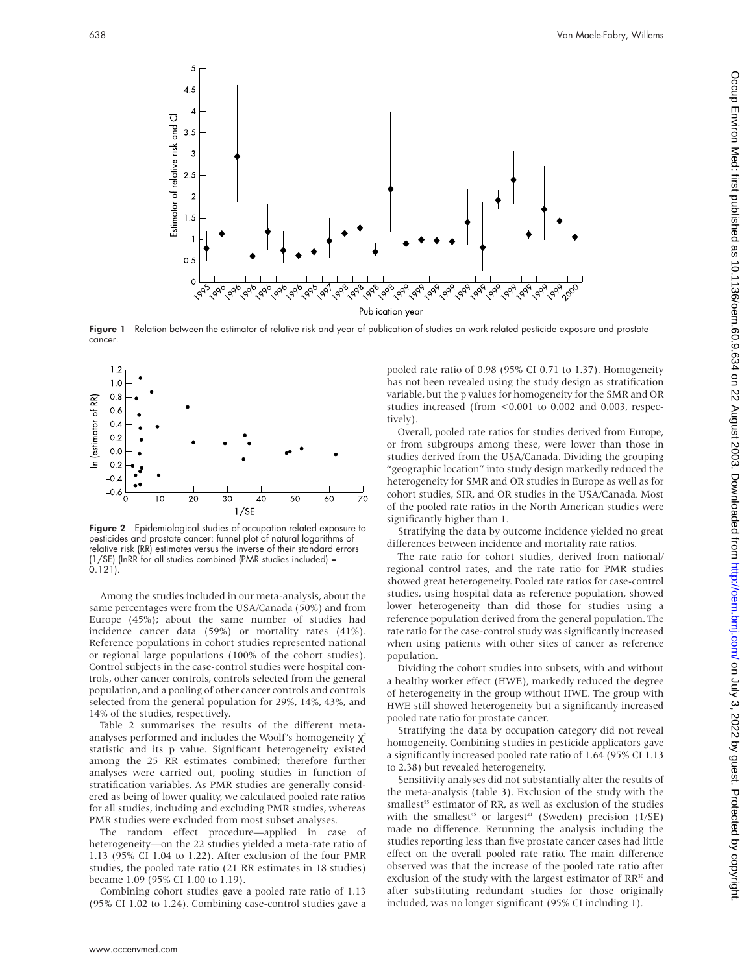

Figure 1 Relation between the estimator of relative risk and year of publication of studies on work related pesticide exposure and prostate cancer.



Figure 2 Epidemiological studies of occupation related exposure to pesticides and prostate cancer: funnel plot of natural logarithms of relative risk (RR) estimates versus the inverse of their standard errors (1/SE) (lnRR for all studies combined (PMR studies included) = 0.121).

Among the studies included in our meta-analysis, about the same percentages were from the USA/Canada (50%) and from Europe (45%); about the same number of studies had incidence cancer data (59%) or mortality rates (41%). Reference populations in cohort studies represented national or regional large populations (100% of the cohort studies). Control subjects in the case-control studies were hospital controls, other cancer controls, controls selected from the general population, and a pooling of other cancer controls and controls selected from the general population for 29%, 14%, 43%, and 14% of the studies, respectively.

Table 2 summarises the results of the different metaanalyses performed and includes the Woolf's homogeneity  $\chi^2$ statistic and its p value. Significant heterogeneity existed among the 25 RR estimates combined; therefore further analyses were carried out, pooling studies in function of stratification variables. As PMR studies are generally considered as being of lower quality, we calculated pooled rate ratios for all studies, including and excluding PMR studies, whereas PMR studies were excluded from most subset analyses.

The random effect procedure—applied in case of heterogeneity—on the 22 studies yielded a meta-rate ratio of 1.13 (95% CI 1.04 to 1.22). After exclusion of the four PMR studies, the pooled rate ratio (21 RR estimates in 18 studies) became 1.09 (95% CI 1.00 to 1.19).

Combining cohort studies gave a pooled rate ratio of 1.13 (95% CI 1.02 to 1.24). Combining case-control studies gave a pooled rate ratio of 0.98 (95% CI 0.71 to 1.37). Homogeneity has not been revealed using the study design as stratification variable, but the p values for homogeneity for the SMR and OR studies increased (from <0.001 to 0.002 and 0.003, respectively).

Overall, pooled rate ratios for studies derived from Europe, or from subgroups among these, were lower than those in studies derived from the USA/Canada. Dividing the grouping "geographic location" into study design markedly reduced the heterogeneity for SMR and OR studies in Europe as well as for cohort studies, SIR, and OR studies in the USA/Canada. Most of the pooled rate ratios in the North American studies were significantly higher than 1.

Stratifying the data by outcome incidence yielded no great differences between incidence and mortality rate ratios.

The rate ratio for cohort studies, derived from national/ regional control rates, and the rate ratio for PMR studies showed great heterogeneity. Pooled rate ratios for case-control studies, using hospital data as reference population, showed lower heterogeneity than did those for studies using a reference population derived from the general population. The rate ratio for the case-control study was significantly increased when using patients with other sites of cancer as reference population.

Dividing the cohort studies into subsets, with and without a healthy worker effect (HWE), markedly reduced the degree of heterogeneity in the group without HWE. The group with HWE still showed heterogeneity but a significantly increased pooled rate ratio for prostate cancer.

Stratifying the data by occupation category did not reveal homogeneity. Combining studies in pesticide applicators gave a significantly increased pooled rate ratio of 1.64 (95% CI 1.13 to 2.38) but revealed heterogeneity.

Sensitivity analyses did not substantially alter the results of the meta-analysis (table 3). Exclusion of the study with the smallest<sup>55</sup> estimator of RR, as well as exclusion of the studies with the smallest<sup>45</sup> or largest<sup>21</sup> (Sweden) precision ( $1/SE$ ) made no difference. Rerunning the analysis including the studies reporting less than five prostate cancer cases had little effect on the overall pooled rate ratio. The main difference observed was that the increase of the pooled rate ratio after exclusion of the study with the largest estimator of  $RR^{30}$  and after substituting redundant studies for those originally included, was no longer significant (95% CI including 1).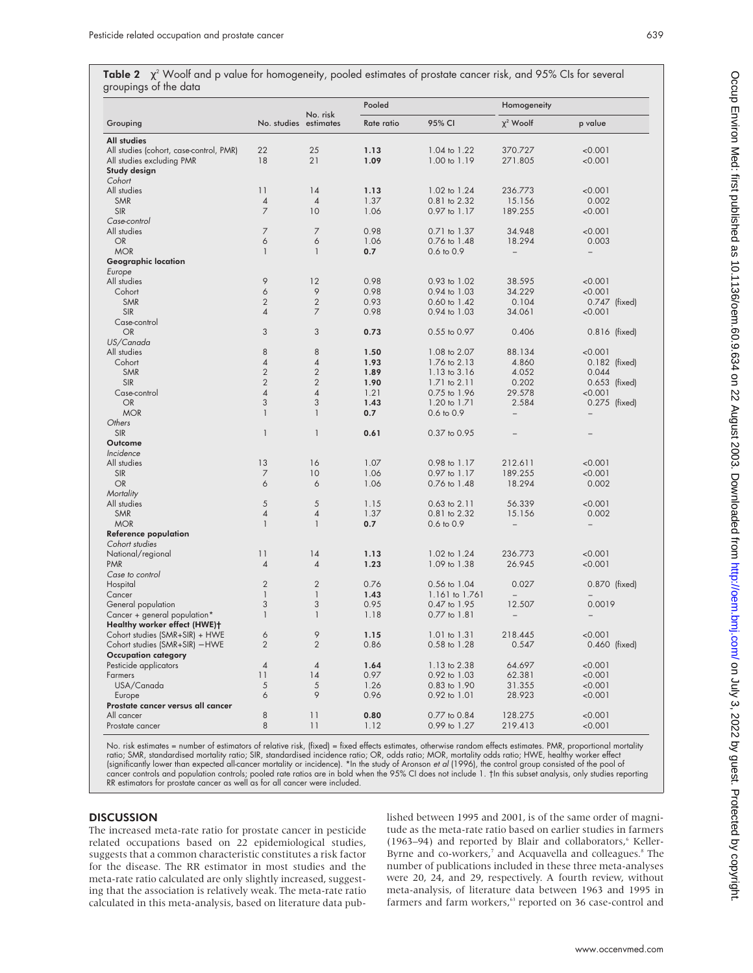Table 2  $\chi^2$  Woolf and p value for homogeneity, pooled estimates of prostate cancer risk, and 95% CIs for several groupings of the data

|                                         |                       |                | Pooled     |                              | Homogeneity              |                          |  |
|-----------------------------------------|-----------------------|----------------|------------|------------------------------|--------------------------|--------------------------|--|
| Grouping                                | No. studies estimates | No. risk       | Rate ratio | 95% CI                       | $\chi^2$ Woolf           | p value                  |  |
| <b>All studies</b>                      |                       |                |            |                              |                          |                          |  |
| All studies (cohort, case-control, PMR) | 22                    | 25             | 1.13       | 1.04 to 1.22                 | 370.727                  | < 0.001                  |  |
| All studies excluding PMR               | 18                    | 21             | 1.09       | 1.00 to 1.19                 | 271.805                  | < 0.001                  |  |
| Study design                            |                       |                |            |                              |                          |                          |  |
| Cohort                                  |                       |                |            |                              |                          |                          |  |
| All studies                             | 11                    | 14             | 1.13       | 1.02 to 1.24                 | 236.773                  | < 0.001                  |  |
| <b>SMR</b>                              | $\overline{4}$        | $\overline{A}$ | 1.37       | 0.81 to 2.32                 | 15.156                   | 0.002                    |  |
| <b>SIR</b>                              | $\overline{7}$        | 10             | 1.06       | 0.97 to 1.17                 | 189.255                  | < 0.001                  |  |
| Case-control                            |                       |                |            |                              |                          |                          |  |
| All studies                             | $\overline{7}$        | 7              | 0.98       | 0.71 to 1.37                 | 34.948                   | < 0.001                  |  |
| <b>OR</b>                               | 6                     | 6              | 1.06       | 0.76 to 1.48                 | 18.294                   | 0.003                    |  |
| <b>MOR</b>                              | 1                     | $\mathbf{1}$   | 0.7        | $0.6$ to $0.9$               | $\overline{\phantom{0}}$ | $\overline{\phantom{a}}$ |  |
| <b>Geographic location</b>              |                       |                |            |                              |                          |                          |  |
| Europe                                  |                       |                |            |                              |                          |                          |  |
| All studies                             | 9                     | 12             | 0.98       | 0.93 to 1.02                 | 38.595                   | < 0.001                  |  |
| Cohort                                  | 6                     | 9              | 0.98       | 0.94 to 1.03                 | 34.229                   | < 0.001                  |  |
| <b>SMR</b>                              | $\overline{2}$        | $\overline{2}$ | 0.93       | 0.60 to 1.42                 | 0.104                    | 0.747 (fixed)            |  |
| <b>SIR</b>                              | $\overline{4}$        | 7              | 0.98       | 0.94 to 1.03                 | 34.061                   | < 0.001                  |  |
| Case-control                            |                       |                |            |                              |                          |                          |  |
| OR                                      | 3                     | 3              | 0.73       | 0.55 to 0.97                 | 0.406                    | 0.816 (fixed)            |  |
| US/Canada                               |                       |                |            |                              |                          |                          |  |
| All studies                             | $\,8\,$               | 8              | 1.50       | 1.08 to 2.07                 | 88.134                   | < 0.001                  |  |
| Cohort                                  | $\overline{4}$        | $\overline{4}$ | 1.93       | 1.76 to 2.13                 | 4.860                    |                          |  |
| <b>SMR</b>                              | $\overline{2}$        | $\overline{2}$ | 1.89       | 1.13 to 3.16                 | 4.052                    | 0.182 (fixed)<br>0.044   |  |
| <b>SIR</b>                              | $\overline{2}$        | $\overline{2}$ | 1.90       | 1.71 to 2.11                 | 0.202                    | 0.653                    |  |
| Case-control                            | $\overline{4}$        | $\overline{4}$ | 1.21       | 0.75 to 1.96                 | 29.578                   | (fixed)                  |  |
| <b>OR</b>                               | 3                     | 3              | 1.43       |                              | 2.584                    | < 0.001                  |  |
| <b>MOR</b>                              | $\mathbf{1}$          | $\mathbf{1}$   |            | 1.20 to 1.71                 |                          | 0.275 (fixed)            |  |
|                                         |                       |                | 0.7        | 0.6 to 0.9                   | $\qquad \qquad -$        |                          |  |
| Others                                  | $\mathbf{1}$          |                |            |                              |                          |                          |  |
| <b>SIR</b>                              |                       | $\mathbf{1}$   | 0.61       | 0.37 to 0.95                 |                          |                          |  |
| Outcome                                 |                       |                |            |                              |                          |                          |  |
| Incidence                               | 13                    | 16             | 1.07       |                              | 212.611                  |                          |  |
| All studies<br><b>SIR</b>               | $\overline{7}$        | 10             | 1.06       | 0.98 to 1.17<br>0.97 to 1.17 | 189.255                  | 0.001<br>< 0.001         |  |
| <b>OR</b>                               | 6                     | 6              |            |                              |                          |                          |  |
|                                         |                       |                | 1.06       | 0.76 to 1.48                 | 18.294                   | 0.002                    |  |
| Mortality                               |                       |                |            |                              |                          |                          |  |
| All studies                             | 5                     | 5              | 1.15       | 0.63 to 2.11                 | 56.339                   | < 0.001                  |  |
| <b>SMR</b>                              | $\sqrt{4}$            | $\overline{4}$ | 1.37       | 0.81 to 2.32                 | 15.156                   | 0.002                    |  |
| <b>MOR</b>                              | $\mathbf{1}$          | $\mathbf{1}$   | 0.7        | 0.6 to 0.9                   | $\overline{\phantom{0}}$ | $\overline{\phantom{0}}$ |  |
| <b>Reference population</b>             |                       |                |            |                              |                          |                          |  |
| Cohort studies                          |                       |                |            |                              |                          |                          |  |
| National/regional                       | 11                    | 14             | 1.13       | 1.02 to 1.24                 | 236.773                  | < 0.001                  |  |
| <b>PMR</b>                              | $\overline{4}$        | $\overline{4}$ | 1.23       | 1.09 to 1.38                 | 26.945                   | < 0.001                  |  |
| Case to control                         |                       |                |            |                              |                          |                          |  |
| Hospital                                | $\overline{2}$        | $\overline{2}$ | 0.76       | 0.56 to 1.04                 | 0.027                    | 0.870 (fixed)            |  |
| Cancer                                  | $\mathbf{1}$          | $\mathbf{1}$   | 1.43       | 1.161 to 1.761               |                          |                          |  |
| General population                      | 3                     | 3              | 0.95       | 0.47 to 1.95                 | 12.507                   | 0.0019                   |  |
| Cancer + general population*            | $\mathbf{1}$          | $\mathbf{1}$   | 1.18       | 0.77 to 1.81                 | $\overline{a}$           |                          |  |
| Healthy worker effect (HWE)+            |                       |                |            |                              |                          |                          |  |
| Cohort studies (SMR+SIR) + HWE          | 6                     | 9              | 1.15       | $1.01$ to $1.31$             | 218.445                  | < 0.001                  |  |
| Cohort studies (SMR+SIR) - HWE          | $\mathbf{2}$          | $\overline{2}$ | 0.86       | 0.58 to 1.28                 | 0.547                    | 0.460 (fixed)            |  |
| <b>Occupation category</b>              |                       |                |            |                              |                          |                          |  |
| Pesticide applicators                   | $\overline{4}$        | $\overline{4}$ | 1.64       | 1.13 to 2.38                 | 64.697                   | < 0.001                  |  |
| Farmers                                 | 11                    | 14             | 0.97       | 0.92 to 1.03                 | 62.381                   | < 0.001                  |  |
| USA/Canada                              | 5                     | 5              | 1.26       | 0.83 to 1.90                 | 31.355                   | < 0.001                  |  |
| Europe                                  | 6                     | 9              | 0.96       | 0.92 to 1.01                 | 28.923                   | < 0.001                  |  |
| Prostate cancer versus all cancer       |                       |                |            |                              |                          |                          |  |
| All cancer                              | 8                     | 11             | 0.80       | 0.77 to 0.84                 | 128.275                  | < 0.001                  |  |
| Prostate cancer                         | 8                     | 11             | 1.12       | 0.99 to 1.27                 | 219.413                  | < 0.001                  |  |

No. risk estimates = number of estimators of relative risk, (fixed) = fixed effects estimates, otherwise random effects estimates. PMR, proportional mortality ratio; SMR, standardised mortality ratio; SIR, standardised incidence ratio; OR, odds ratio; MOR, mortality odds ratio; HWE, healthy worker effect (significantly lower than expected all-cancer mortality or incidence). \*In the study of Aronson et al (1996), the control group consisted of the pool of cancer controls and population controls; pooled rate ratios are in bold when the 95% CI does not include 1. †In this subset analysis, only studies reporting<br>RR estimators for prostate cancer as well as for all cancer were

## **DISCUSSION**

The increased meta-rate ratio for prostate cancer in pesticide related occupations based on 22 epidemiological studies, suggests that a common characteristic constitutes a risk factor for the disease. The RR estimator in most studies and the meta-rate ratio calculated are only slightly increased, suggesting that the association is relatively weak. The meta-rate ratio calculated in this meta-analysis, based on literature data published between 1995 and 2001, is of the same order of magnitude as the meta-rate ratio based on earlier studies in farmers (1963–94) and reported by Blair and collaborators, $6$  Keller-Byrne and co-workers,<sup>7</sup> and Acquavella and colleagues.<sup>8</sup> The number of publications included in these three meta-analyses were 20, 24, and 29, respectively. A fourth review, without meta-analysis, of literature data between 1963 and 1995 in farmers and farm workers,<sup>63</sup> reported on 36 case-control and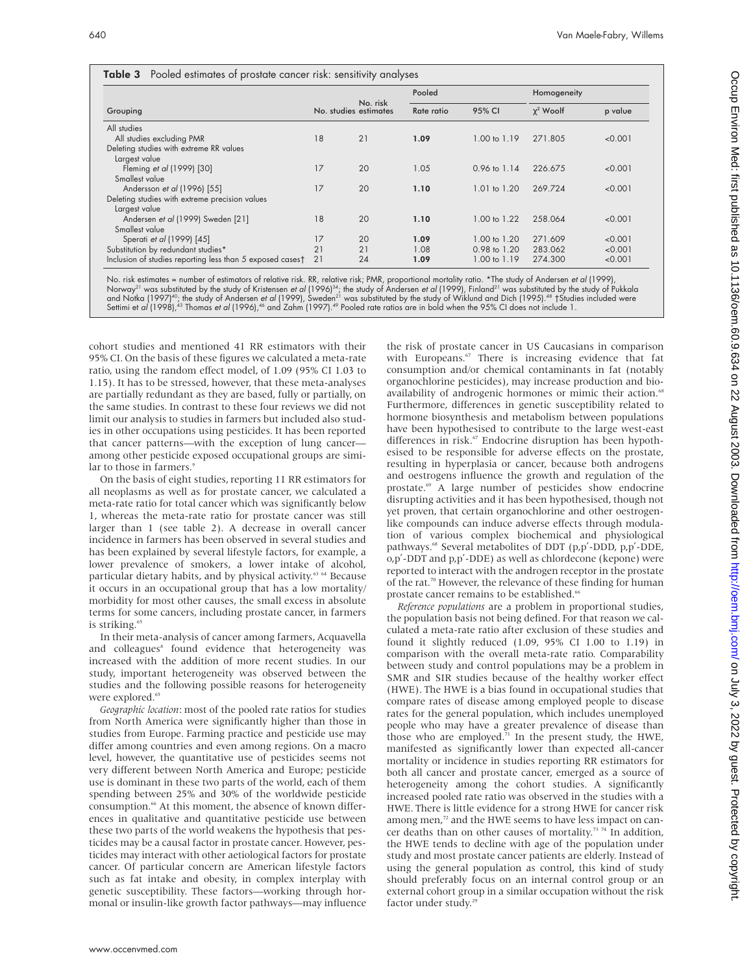|                                                           |    | No. risk<br>No. studies estimates | Pooled     |              | Homogeneity      |         |
|-----------------------------------------------------------|----|-----------------------------------|------------|--------------|------------------|---------|
| Grouping                                                  |    |                                   | Rate ratio | 95% CI       | $\gamma^2$ Woolf | p value |
| All studies                                               |    |                                   |            |              |                  |         |
| All studies excluding PMR                                 | 18 | 21                                | 1.09       | 1.00 to 1.19 | 271.805          | < 0.001 |
| Deleting studies with extreme RR values                   |    |                                   |            |              |                  |         |
| Largest value                                             |    |                                   |            |              |                  |         |
| Fleming et al (1999) [30]                                 | 17 | 20                                | 1.05       | 0.96 to 1.14 | 226.675          | < 0.001 |
| Smallest value                                            |    |                                   |            |              |                  |         |
| Andersson et al (1996) [55]                               | 17 | 20                                | 1.10       | 1.01 to 1.20 | 269.724          | < 0.001 |
| Deleting studies with extreme precision values            |    |                                   |            |              |                  |         |
| Largest value                                             |    |                                   |            |              |                  |         |
| Andersen et al (1999) Sweden [21]                         | 18 | 20                                | 1.10       | 1.00 to 1.22 | 258.064          | < 0.001 |
| Smallest value                                            |    |                                   |            |              |                  |         |
| Sperati et al (1999) [45]                                 | 17 | 20                                | 1.09       | 1.00 to 1.20 | 271.609          | < 0.001 |
| Substitution by redundant studies*                        | 21 | 21                                | 1.08       | 0.98 to 1.20 | 283.062          | < 0.001 |
| Inclusion of studies reporting less than 5 exposed cases† | 21 | 24                                | 1.09       | 1.00 to 1.19 | 274.300          | < 0.001 |

No. risk estimates = number of estimators of relative risk. RR, relative risk; PMR, proportional mortality ratio. \*The study of Andersen *et al* (1999),<br>Norway<sup>21</sup> was substituted by the study of Kristensen *et al* (1996)<sup></sup>

cohort studies and mentioned 41 RR estimators with their 95% CI. On the basis of these figures we calculated a meta-rate ratio, using the random effect model, of 1.09 (95% CI 1.03 to 1.15). It has to be stressed, however, that these meta-analyses are partially redundant as they are based, fully or partially, on the same studies. In contrast to these four reviews we did not limit our analysis to studies in farmers but included also studies in other occupations using pesticides. It has been reported that cancer patterns—with the exception of lung cancer among other pesticide exposed occupational groups are similar to those in farmers.<sup>9</sup>

On the basis of eight studies, reporting 11 RR estimators for all neoplasms as well as for prostate cancer, we calculated a meta-rate ratio for total cancer which was significantly below 1, whereas the meta-rate ratio for prostate cancer was still larger than 1 (see table 2). A decrease in overall cancer incidence in farmers has been observed in several studies and has been explained by several lifestyle factors, for example, a lower prevalence of smokers, a lower intake of alcohol, particular dietary habits, and by physical activity.<sup>63</sup> <sup>64</sup> Because it occurs in an occupational group that has a low mortality/ morbidity for most other causes, the small excess in absolute terms for some cancers, including prostate cancer, in farmers is striking.<sup>65</sup>

In their meta-analysis of cancer among farmers, Acquavella and colleagues<sup>8</sup> found evidence that heterogeneity was increased with the addition of more recent studies. In our study, important heterogeneity was observed between the studies and the following possible reasons for heterogeneity were explored.<sup>65</sup>

*Geographic location*: most of the pooled rate ratios for studies from North America were significantly higher than those in studies from Europe. Farming practice and pesticide use may differ among countries and even among regions. On a macro level, however, the quantitative use of pesticides seems not very different between North America and Europe; pesticide use is dominant in these two parts of the world, each of them spending between 25% and 30% of the worldwide pesticide consumption.<sup>66</sup> At this moment, the absence of known differences in qualitative and quantitative pesticide use between these two parts of the world weakens the hypothesis that pesticides may be a causal factor in prostate cancer. However, pesticides may interact with other aetiological factors for prostate cancer. Of particular concern are American lifestyle factors such as fat intake and obesity, in complex interplay with genetic susceptibility. These factors—working through hormonal or insulin-like growth factor pathways—may influence

the risk of prostate cancer in US Caucasians in comparison with Europeans.<sup>67</sup> There is increasing evidence that fat consumption and/or chemical contaminants in fat (notably organochlorine pesticides), may increase production and bioavailability of androgenic hormones or mimic their action.<sup>68</sup> Furthermore, differences in genetic susceptibility related to hormone biosynthesis and metabolism between populations have been hypothesised to contribute to the large west-east differences in risk. $67$  Endocrine disruption has been hypothesised to be responsible for adverse effects on the prostate, resulting in hyperplasia or cancer, because both androgens and oestrogens influence the growth and regulation of the prostate.69 A large number of pesticides show endocrine disrupting activities and it has been hypothesised, though not yet proven, that certain organochlorine and other oestrogenlike compounds can induce adverse effects through modulation of various complex biochemical and physiological pathways.<sup>68</sup> Several metabolites of DDT (p,p'-DDD, p,p'-DDE, o,p′-DDT and p,p′-DDE) as well as chlordecone (kepone) were reported to interact with the androgen receptor in the prostate of the rat.<sup>70</sup> However, the relevance of these finding for human prostate cancer remains to be established.<sup>66</sup>

*Reference populations* are a problem in proportional studies, the population basis not being defined. For that reason we calculated a meta-rate ratio after exclusion of these studies and found it slightly reduced (1.09, 95% CI 1.00 to 1.19) in comparison with the overall meta-rate ratio. Comparability between study and control populations may be a problem in SMR and SIR studies because of the healthy worker effect (HWE). The HWE is a bias found in occupational studies that compare rates of disease among employed people to disease rates for the general population, which includes unemployed people who may have a greater prevalence of disease than those who are employed. $\overline{7}$ <sup>1</sup> In the present study, the HWE, manifested as significantly lower than expected all-cancer mortality or incidence in studies reporting RR estimators for both all cancer and prostate cancer, emerged as a source of heterogeneity among the cohort studies. A significantly increased pooled rate ratio was observed in the studies with a HWE. There is little evidence for a strong HWE for cancer risk among men, $72$  and the HWE seems to have less impact on cancer deaths than on other causes of mortality.<sup>73</sup> <sup>74</sup> In addition, the HWE tends to decline with age of the population under study and most prostate cancer patients are elderly. Instead of using the general population as control, this kind of study should preferably focus on an internal control group or an external cohort group in a similar occupation without the risk factor under study.<sup>29</sup>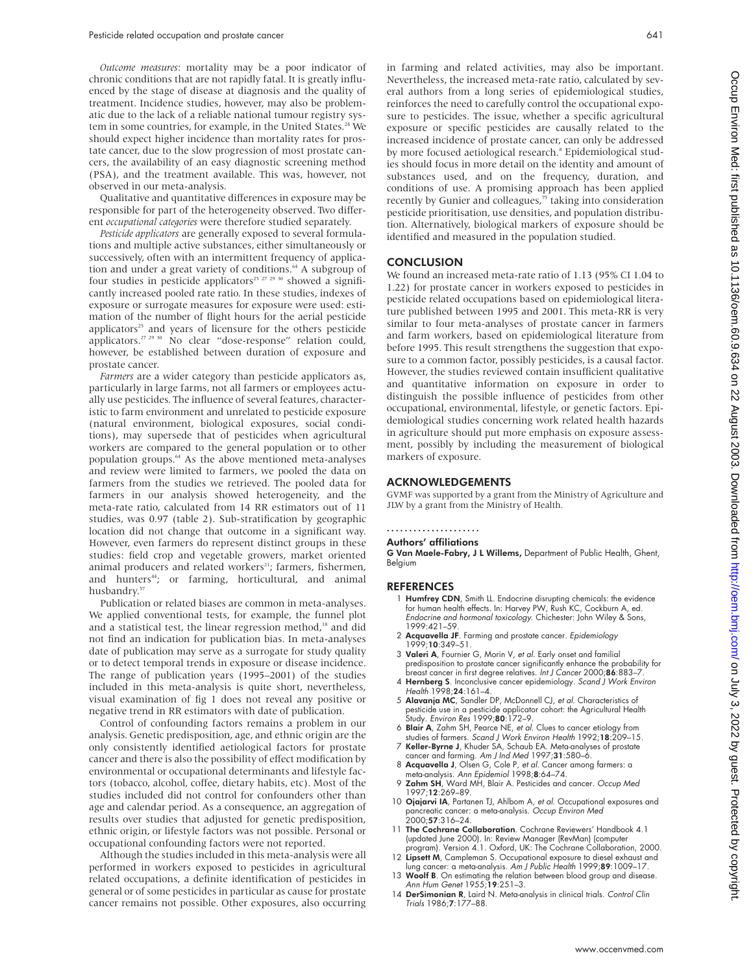*Outcome measures*: mortality may be a poor indicator of chronic conditions that are not rapidly fatal. It is greatly influenced by the stage of disease at diagnosis and the quality of treatment. Incidence studies, however, may also be problematic due to the lack of a reliable national tumour registry system in some countries, for example, in the United States.<sup>24</sup> We should expect higher incidence than mortality rates for prostate cancer, due to the slow progression of most prostate cancers, the availability of an easy diagnostic screening method (PSA), and the treatment available. This was, however, not observed in our meta-analysis.

Qualitative and quantitative differences in exposure may be responsible for part of the heterogeneity observed. Two different *occupational categories* were therefore studied separately.

*Pesticide applicators* are generally exposed to several formulations and multiple active substances, either simultaneously or successively, often with an intermittent frequency of application and under a great variety of conditions.<sup>64</sup> A subgroup of four studies in pesticide applicators<sup>25 27 29 30</sup> showed a significantly increased pooled rate ratio. In these studies, indexes of exposure or surrogate measures for exposure were used: estimation of the number of flight hours for the aerial pesticide applicators<sup>25</sup> and years of licensure for the others pesticide applicators.<sup>27 29 30</sup> No clear "dose-response" relation could, however, be established between duration of exposure and prostate cancer.

*Farmers* are a wider category than pesticide applicators as, particularly in large farms, not all farmers or employees actually use pesticides. The influence of several features, characteristic to farm environment and unrelated to pesticide exposure (natural environment, biological exposures, social conditions), may supersede that of pesticides when agricultural workers are compared to the general population or to other population groups.64 As the above mentioned meta-analyses and review were limited to farmers, we pooled the data on farmers from the studies we retrieved. The pooled data for farmers in our analysis showed heterogeneity, and the meta-rate ratio, calculated from 14 RR estimators out of 11 studies, was 0.97 (table 2). Sub-stratification by geographic location did not change that outcome in a significant way. However, even farmers do represent distinct groups in these studies: field crop and vegetable growers, market oriented animal producers and related workers<sup>21</sup>; farmers, fishermen, and hunters<sup>44</sup>; or farming, horticultural, and animal husbandry.57

Publication or related biases are common in meta-analyses. We applied conventional tests, for example, the funnel plot and a statistical test, the linear regression method,<sup>18</sup> and did not find an indication for publication bias. In meta-analyses date of publication may serve as a surrogate for study quality or to detect temporal trends in exposure or disease incidence. The range of publication years (1995–2001) of the studies included in this meta-analysis is quite short, nevertheless, visual examination of fig 1 does not reveal any positive or negative trend in RR estimators with date of publication.

Control of confounding factors remains a problem in our analysis. Genetic predisposition, age, and ethnic origin are the only consistently identified aetiological factors for prostate cancer and there is also the possibility of effect modification by environmental or occupational determinants and lifestyle factors (tobacco, alcohol, coffee, dietary habits, etc). Most of the studies included did not control for confounders other than age and calendar period. As a consequence, an aggregation of results over studies that adjusted for genetic predisposition, ethnic origin, or lifestyle factors was not possible. Personal or occupational confounding factors were not reported.

Although the studies included in this meta-analysis were all performed in workers exposed to pesticides in agricultural related occupations, a definite identification of pesticides in general or of some pesticides in particular as cause for prostate cancer remains not possible. Other exposures, also occurring in farming and related activities, may also be important. Nevertheless, the increased meta-rate ratio, calculated by several authors from a long series of epidemiological studies, reinforces the need to carefully control the occupational exposure to pesticides. The issue, whether a specific agricultural exposure or specific pesticides are causally related to the increased incidence of prostate cancer, can only be addressed by more focused aetiological research.<sup>8</sup> Epidemiological studies should focus in more detail on the identity and amount of substances used, and on the frequency, duration, and conditions of use. A promising approach has been applied recently by Gunier and colleagues,<sup>75</sup> taking into consideration pesticide prioritisation, use densities, and population distribution. Alternatively, biological markers of exposure should be identified and measured in the population studied.

# **CONCLUSION**

We found an increased meta-rate ratio of 1.13 (95% CI 1.04 to 1.22) for prostate cancer in workers exposed to pesticides in pesticide related occupations based on epidemiological literature published between 1995 and 2001. This meta-RR is very similar to four meta-analyses of prostate cancer in farmers and farm workers, based on epidemiological literature from before 1995. This result strengthens the suggestion that exposure to a common factor, possibly pesticides, is a causal factor. However, the studies reviewed contain insufficient qualitative and quantitative information on exposure in order to distinguish the possible influence of pesticides from other occupational, environmental, lifestyle, or genetic factors. Epidemiological studies concerning work related health hazards in agriculture should put more emphasis on exposure assessment, possibly by including the measurement of biological markers of exposure.

#### ACKNOWLEDGEMENTS

GVMF was supported by a grant from the Ministry of Agriculture and JLW by a grant from the Ministry of Health.

#### .....................

# Authors' affiliations

G Van Maele-Fabry, J L Willems, Department of Public Health, Ghent, Belgium

#### **REFERENCES**

- 1 Humfrey CDN, Smith LL. Endocrine disrupting chemicals: the evidence for human health effects. In: Harvey PW, Rush KC, Cockburn A, ed. Endocrine and hormonal toxicology. Chichester: John Wiley & Sons, 1999:421–59.
- 2 Acquavella JF. Farming and prostate cancer. Epidemiology 1999;**10**:349–51.
- 3 Valeri A, Fournier G, Morin V, et al. Early onset and familial predisposition to prostate cancer significantly enhance the probability for breast cancer in first degree relatives. Int J Cancer 2000;86:883-7
- 4 Hernberg S. Inconclusive cancer epidemiology. Scand J Work Environ Health 1998;24:161-4.
- 5 Alavanja MC, Sandler DP, McDonnell CJ, et al. Characteristics of pesticide use in a pesticide applicator cohort: the Agricultural Health Study. Environ Res 1999;80:172–9.
- 6 Blair A, Zahm SH, Pearce NE, et al. Clues to cancer etiology from studies of farmers. Scand J Work Environ Health 1992;18:209–15.
- 7 Keller-Byrne J, Khuder SA, Schaub EA. Meta-analyses of prostate cancer and farming. Am J Ind Med 1997;31:580–6.
- 8 Acquavella J, Olsen G, Cole P, et al. Cancer among farmers: a meta-analysis. Ann Epidemiol 1998;8:64–74.
- 9 Zahm SH, Ward MH, Blair A. Pesticides and cancer. Occup Med 1997;12:269–89.
- 10 **Ojajarvi IA**, Partanen TJ, Ahlbom A, et al. Occupational exposures and pancreatic cancer: a meta-analysis. Occup Environ Med  $2000:57:316-24.$
- 11 The Cochrane Collaboration. Cochrane Reviewers' Handbook 4.1 (updated June 2000). In: Review Manager (RevMan) (computer program). Version 4.1. Oxford, UK: The Cochrane Collaboration, 2000.
- 12 Lipsett M, Campleman S. Occupational exposure to diesel exhaust and lung cancer: a meta-analysis. Am J Public Health 1999;89:1009–17.
- 13 Woolf B. On estimating the relation between blood group and disease. Ann Hum Genet 1955;19:251–3.
- 14 DerSimonian R, Laird N. Meta-analysis in clinical trials. Control Clin Trials 1986;7:177–88.